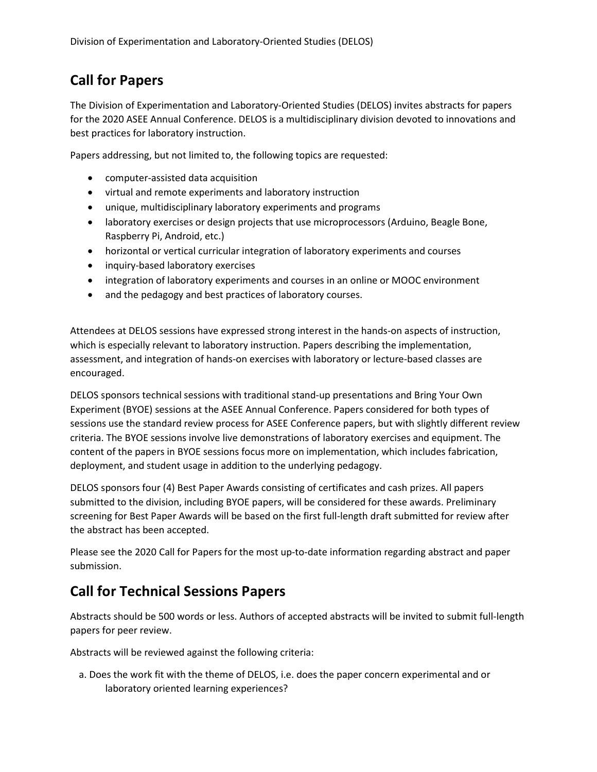## Call for Papers

The Division of Experimentation and Laboratory-Oriented Studies (DELOS) invites abstracts for papers for the 2020 ASEE Annual Conference. DELOS is a multidisciplinary division devoted to innovations and best practices for laboratory instruction.

Papers addressing, but not limited to, the following topics are requested:

- computer-assisted data acquisition
- virtual and remote experiments and laboratory instruction
- unique, multidisciplinary laboratory experiments and programs
- laboratory exercises or design projects that use microprocessors (Arduino, Beagle Bone, Raspberry Pi, Android, etc.)
- horizontal or vertical curricular integration of laboratory experiments and courses
- inquiry-based laboratory exercises
- integration of laboratory experiments and courses in an online or MOOC environment
- and the pedagogy and best practices of laboratory courses.

Attendees at DELOS sessions have expressed strong interest in the hands-on aspects of instruction, which is especially relevant to laboratory instruction. Papers describing the implementation, assessment, and integration of hands-on exercises with laboratory or lecture-based classes are encouraged.

DELOS sponsors technical sessions with traditional stand-up presentations and Bring Your Own Experiment (BYOE) sessions at the ASEE Annual Conference. Papers considered for both types of sessions use the standard review process for ASEE Conference papers, but with slightly different review criteria. The BYOE sessions involve live demonstrations of laboratory exercises and equipment. The content of the papers in BYOE sessions focus more on implementation, which includes fabrication, deployment, and student usage in addition to the underlying pedagogy.

DELOS sponsors four (4) Best Paper Awards consisting of certificates and cash prizes. All papers submitted to the division, including BYOE papers, will be considered for these awards. Preliminary screening for Best Paper Awards will be based on the first full-length draft submitted for review after the abstract has been accepted.

Please see the 2020 Call for Papers for the most up-to-date information regarding abstract and paper submission.

## Call for Technical Sessions Papers

Abstracts should be 500 words or less. Authors of accepted abstracts will be invited to submit full-length papers for peer review.

Abstracts will be reviewed against the following criteria:

a. Does the work fit with the theme of DELOS, i.e. does the paper concern experimental and or laboratory oriented learning experiences?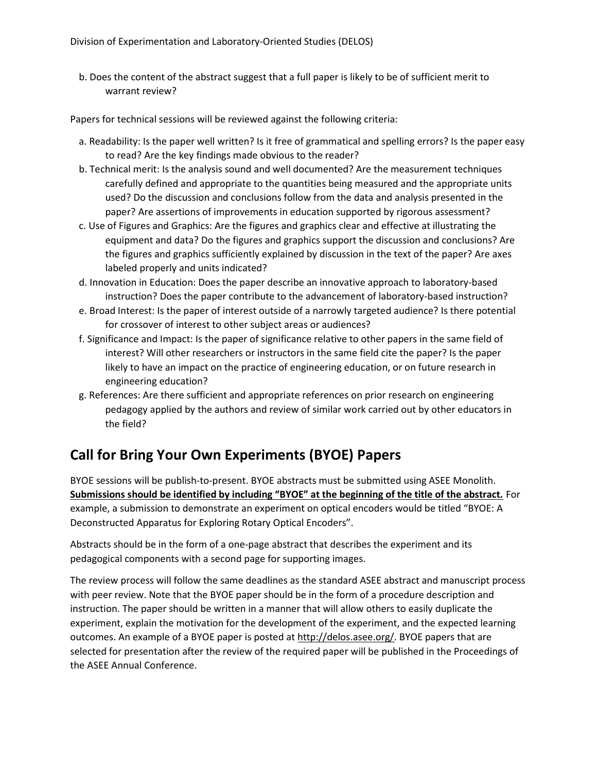b. Does the content of the abstract suggest that a full paper is likely to be of sufficient merit to warrant review?

Papers for technical sessions will be reviewed against the following criteria:

- a. Readability: Is the paper well written? Is it free of grammatical and spelling errors? Is the paper easy to read? Are the key findings made obvious to the reader?
- b. Technical merit: Is the analysis sound and well documented? Are the measurement techniques carefully defined and appropriate to the quantities being measured and the appropriate units used? Do the discussion and conclusions follow from the data and analysis presented in the paper? Are assertions of improvements in education supported by rigorous assessment?
- c. Use of Figures and Graphics: Are the figures and graphics clear and effective at illustrating the equipment and data? Do the figures and graphics support the discussion and conclusions? Are the figures and graphics sufficiently explained by discussion in the text of the paper? Are axes labeled properly and units indicated?
- d. Innovation in Education: Does the paper describe an innovative approach to laboratory-based instruction? Does the paper contribute to the advancement of laboratory-based instruction?
- e. Broad Interest: Is the paper of interest outside of a narrowly targeted audience? Is there potential for crossover of interest to other subject areas or audiences?
- f. Significance and Impact: Is the paper of significance relative to other papers in the same field of interest? Will other researchers or instructors in the same field cite the paper? Is the paper likely to have an impact on the practice of engineering education, or on future research in engineering education?
- g. References: Are there sufficient and appropriate references on prior research on engineering pedagogy applied by the authors and review of similar work carried out by other educators in the field?

## Call for Bring Your Own Experiments (BYOE) Papers

BYOE sessions will be publish-to-present. BYOE abstracts must be submitted using ASEE Monolith. Submissions should be identified by including "BYOE" at the beginning of the title of the abstract. For example, a submission to demonstrate an experiment on optical encoders would be titled "BYOE: A Deconstructed Apparatus for Exploring Rotary Optical Encoders".

Abstracts should be in the form of a one-page abstract that describes the experiment and its pedagogical components with a second page for supporting images.

The review process will follow the same deadlines as the standard ASEE abstract and manuscript process with peer review. Note that the BYOE paper should be in the form of a procedure description and instruction. The paper should be written in a manner that will allow others to easily duplicate the experiment, explain the motivation for the development of the experiment, and the expected learning outcomes. An example of a BYOE paper is posted at http://delos.asee.org/. BYOE papers that are selected for presentation after the review of the required paper will be published in the Proceedings of the ASEE Annual Conference.